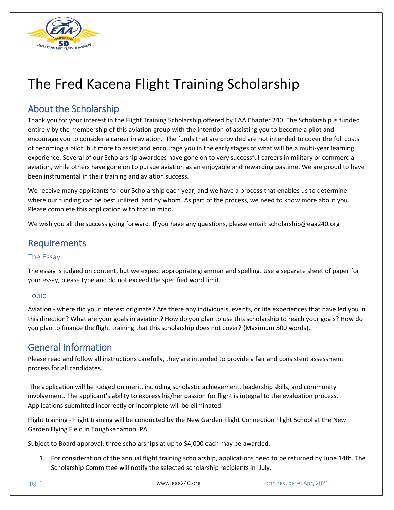

# The Fred Kacena Flight Training Scholarship

# About the Scholarship

Thank you for your interest in the Flight Training Scholarship offered by EAA Chapter 240. The Scholarship is funded entirely by the membership of this aviation group with the intention of assisting you to become a pilot and encourage you to consider a career in aviation. The funds that are provided are not intended to cover the full costs of becoming a pilot, but more to assist and encourage you in the early stages of what will be a multi-year learning experience. Several of our Scholarship awardees have gone on to very successful careers in military or commercial aviation, while others have gone on to pursue aviation as an enjoyable and rewarding pastime. We are proud to have been instrumental in their training and aviation success.

We receive many applicants for our Scholarship each year, and we have a process that enables us to determine where our funding can be best utilized, and by whom. As part of the process, we need to know more about you. Please complete this application with that in mind.

We wish you all the success going forward. If you have any questions, please email: scholarship@eaa240.org

## Requirements

### The Essay

The essay is judged on content, but we expect appropriate grammar and spelling. Use a separate sheet of paper for your essay, please type and do not exceed the specified word limit.

### Topic

Aviation - where did your interest originate? Are there any individuals, events, or life experiences that have led you in this direction? What are your goals in aviation? How do you plan to use this scholarship to reach your goals? How do you plan to finance the flight training that this scholarship does not cover? (Maximum 500 words).

## General Information

Please read and follow all instructions carefully, they are intended to provide a fair and consistent assessment process for all candidates.

The application will be judged on merit, including scholastic achievement, leadership skills, and community involvement. The applicant's ability to express his/her passion for flight is integral to the evaluation process. Applications submitted incorrectly or incomplete will be eliminated.

Flight training - Flight training will be conducted by the New Garden Flight Connection Flight School at the New Garden Flying Field in Toughkenamon, PA.

Subject to Board approval, three scholarships at up to \$4,000 each may be awarded.

1. For consideration of the annual flight training scholarship, applications need to be returned by June 14th. The Scholarship Committee will notify the selected scholarship recipients in July.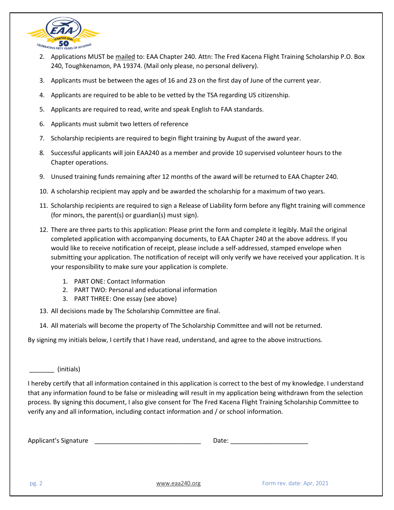

- 2. Applications MUST be mailed to: EAA Chapter 240. Attn: The Fred Kacena Flight Training Scholarship P.O. Box 240, Toughkenamon, PA 19374. (Mail only please, no personal delivery).
- 3. Applicants must be between the ages of 16 and 23 on the first day of June of the current year.
- 4. Applicants are required to be able to be vetted by the TSA regarding US citizenship.
- 5. Applicants are required to read, write and speak English to FAA standards.
- 6. Applicants must submit two letters of reference
- 7. Scholarship recipients are required to begin flight training by August of the award year.
- 8. Successful applicants will join EAA240 as a member and provide 10 supervised volunteer hours to the Chapter operations.
- 9. Unused training funds remaining after 12 months of the award will be returned to EAA Chapter 240.
- 10. A scholarship recipient may apply and be awarded the scholarship for a maximum of two years.
- 11. Scholarship recipients are required to sign a Release of Liability form before any flight training will commence (for minors, the parent(s) or guardian(s) must sign).
- 12. There are three parts to this application: Please print the form and complete it legibly. Mail the original completed application with accompanying documents, to EAA Chapter 240 at the above address. If you would like to receive notification of receipt, please include a self-addressed, stamped envelope when submitting your application. The notification of receipt will only verify we have received your application. It is your responsibility to make sure your application is complete.
	- 1. PART ONE: Contact Information
	- 2. PART TWO: Personal and educational information
	- 3. PART THREE: One essay (see above)

13. All decisions made by The Scholarship Committee are final.

14. All materials will become the property of The Scholarship Committee and will not be returned.

By signing my initials below, I certify that I have read, understand, and agree to the above instructions.

\_\_\_\_\_\_\_ (initials)

I hereby certify that all information contained in this application is correct to the best of my knowledge. I understand that any information found to be false or misleading will result in my application being withdrawn from the selection process. By signing this document, I also give consent for The Fred Kacena Flight Training Scholarship Committee to verify any and all information, including contact information and / or school information.

| <b>Applicant's Signature</b> |  | Date. |
|------------------------------|--|-------|
|------------------------------|--|-------|

pg. 2 **[www.eaa240.org](http://www.eaa240.org/) Form rev. date: Apr, 2021**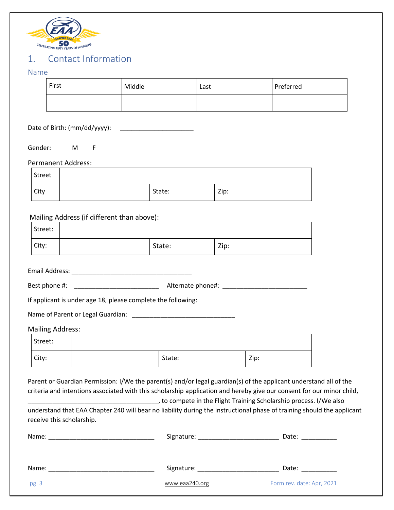

# 1. Contact Information

### Name

| 19411C                       |                                                                                                                                                                                                                                                                                                                                                                                           |                |      |                           |  |
|------------------------------|-------------------------------------------------------------------------------------------------------------------------------------------------------------------------------------------------------------------------------------------------------------------------------------------------------------------------------------------------------------------------------------------|----------------|------|---------------------------|--|
| First                        | Middle                                                                                                                                                                                                                                                                                                                                                                                    | Last           |      | Preferred                 |  |
|                              |                                                                                                                                                                                                                                                                                                                                                                                           |                |      |                           |  |
| Date of Birth: (mm/dd/yyyy): | <u> 1989 - Johann Stein, mars et al. 1989 - Ann an Indian Stein Berlin and Stein Berlin and Stein Berlin and Stein</u>                                                                                                                                                                                                                                                                    |                |      |                           |  |
| Gender:<br>M F               |                                                                                                                                                                                                                                                                                                                                                                                           |                |      |                           |  |
| Permanent Address:           |                                                                                                                                                                                                                                                                                                                                                                                           |                |      |                           |  |
| <b>Street</b>                |                                                                                                                                                                                                                                                                                                                                                                                           |                |      |                           |  |
| City                         | State:                                                                                                                                                                                                                                                                                                                                                                                    |                | Zip: |                           |  |
|                              |                                                                                                                                                                                                                                                                                                                                                                                           |                |      |                           |  |
|                              | Mailing Address (if different than above):                                                                                                                                                                                                                                                                                                                                                |                |      |                           |  |
| Street:                      |                                                                                                                                                                                                                                                                                                                                                                                           |                |      |                           |  |
| City:                        | State:                                                                                                                                                                                                                                                                                                                                                                                    |                | Zip: |                           |  |
|                              | Best phone #: _____________________________                                                                                                                                                                                                                                                                                                                                               |                |      |                           |  |
|                              | If applicant is under age 18, please complete the following:                                                                                                                                                                                                                                                                                                                              |                |      |                           |  |
|                              | Name of Parent or Legal Guardian: [1986] [1988] [1988] [1988] [1988] [1988] [1988] [1988] [1988] [1988] [1988]                                                                                                                                                                                                                                                                            |                |      |                           |  |
| <b>Mailing Address:</b>      |                                                                                                                                                                                                                                                                                                                                                                                           |                |      |                           |  |
| Street:                      |                                                                                                                                                                                                                                                                                                                                                                                           |                |      |                           |  |
| City:                        |                                                                                                                                                                                                                                                                                                                                                                                           | State:         | Zip: |                           |  |
|                              | Parent or Guardian Permission: I/We the parent(s) and/or legal guardian(s) of the applicant understand all of the<br>criteria and intentions associated with this scholarship application and hereby give our consent for our minor child,<br>to compete in the Flight Training Scholarship process. I/We also [15] [16] to compete in the Flight Training Scholarship process. I/We also |                |      |                           |  |
| receive this scholarship.    | understand that EAA Chapter 240 will bear no liability during the instructional phase of training should the applicant                                                                                                                                                                                                                                                                    |                |      |                           |  |
|                              |                                                                                                                                                                                                                                                                                                                                                                                           |                |      |                           |  |
|                              |                                                                                                                                                                                                                                                                                                                                                                                           |                |      |                           |  |
| pg. 3                        |                                                                                                                                                                                                                                                                                                                                                                                           | www.eaa240.org |      | Form rev. date: Apr, 2021 |  |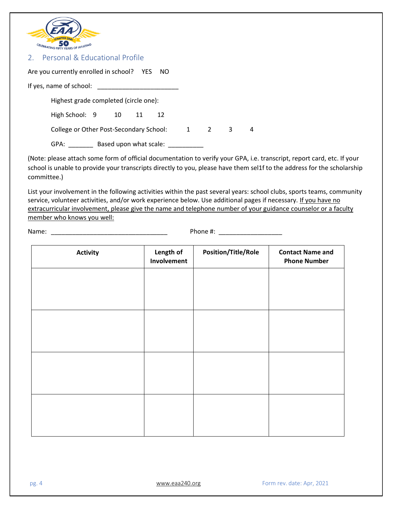

#### 2. Personal & Educational Profile

| Are you currently enrolled in school? YES NO |    |                        |    |     |   |   |
|----------------------------------------------|----|------------------------|----|-----|---|---|
| If yes, name of school:                      |    |                        |    |     |   |   |
| Highest grade completed (circle one):        |    |                        |    |     |   |   |
| High School: 9                               | 10 | - 11                   | 12 |     |   |   |
| College or Other Post-Secondary School:      |    |                        |    | 1 2 | 3 | 4 |
| GPA:                                         |    | Based upon what scale: |    |     |   |   |

(Note: please attach some form of official documentation to verify your GPA, i.e. transcript, report card, etc. If your school is unable to provide your transcripts directly to you, please have them sel1f to the address for the scholarship committee.)

List your involvement in the following activities within the past several years: school clubs, sports teams, community service, volunteer activities, and/or work experience below. Use additional pages if necessary. If you have no extracurricular involvement, please give the name and telephone number of your guidance counselor or a faculty member who knows you well:

Name: \_\_\_\_\_\_\_\_\_\_\_\_\_\_\_\_\_\_\_\_\_\_\_\_\_\_\_\_\_\_\_\_\_ Phone #: \_\_\_\_\_\_\_\_\_\_\_\_\_\_\_\_\_\_

| <b>Activity</b> | Length of<br>Involvement | <b>Position/Title/Role</b> | <b>Contact Name and</b><br><b>Phone Number</b> |
|-----------------|--------------------------|----------------------------|------------------------------------------------|
|                 |                          |                            |                                                |
|                 |                          |                            |                                                |
|                 |                          |                            |                                                |
|                 |                          |                            |                                                |
|                 |                          |                            |                                                |
|                 |                          |                            |                                                |
|                 |                          |                            |                                                |
|                 |                          |                            |                                                |